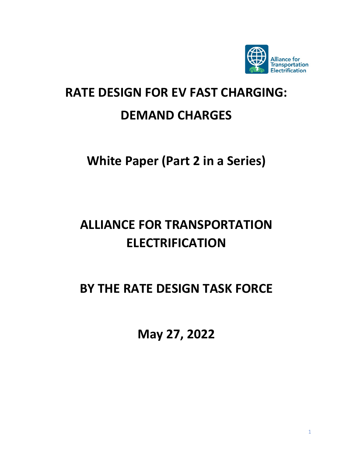

# **RATE DESIGN FOR EV FAST CHARGING:**

# **DEMAND CHARGES**

# **White Paper (Part 2 in a Series)**

# **ALLIANCE FOR TRANSPORTATION ELECTRIFICATION**

# **BY THE RATE DESIGN TASK FORCE**

**May 27, 2022**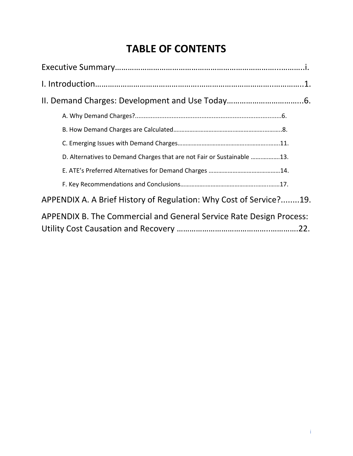### **TABLE OF CONTENTS**

| D. Alternatives to Demand Charges that are not Fair or Sustainable 13. |  |
|------------------------------------------------------------------------|--|
|                                                                        |  |
|                                                                        |  |
| APPENDIX A. A Brief History of Regulation: Why Cost of Service?19.     |  |
| APPENDIX B. The Commercial and General Service Rate Design Process:    |  |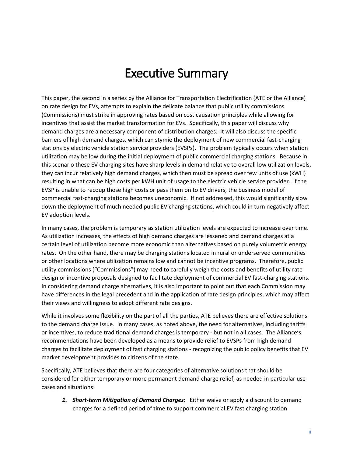# Executive Summary

This paper, the second in a series by the Alliance for Transportation Electrification (ATE or the Alliance) on rate design for EVs, attempts to explain the delicate balance that public utility commissions (Commissions) must strike in approving rates based on cost causation principles while allowing for incentives that assist the market transformation for EVs. Specifically, this paper will discuss why demand charges are a necessary component of distribution charges. It will also discuss the specific barriers of high demand charges, which can stymie the deployment of new commercial fast-charging stations by electric vehicle station service providers (EVSPs). The problem typically occurs when station utilization may be low during the initial deployment of public commercial charging stations. Because in this scenario these EV charging sites have sharp levels in demand relative to overall low utilization levels, they can incur relatively high demand charges, which then must be spread over few units of use (kWH) resulting in what can be high costs per kWH unit of usage to the electric vehicle service provider. If the EVSP is unable to recoup those high costs or pass them on to EV drivers, the business model of commercial fast-charging stations becomes uneconomic. If not addressed, this would significantly slow down the deployment of much needed public EV charging stations, which could in turn negatively affect EV adoption levels.

In many cases, the problem is temporary as station utilization levels are expected to increase over time. As utilization increases, the effects of high demand charges are lessened and demand charges at a certain level of utilization become more economic than alternatives based on purely volumetric energy rates. On the other hand, there may be charging stations located in rural or underserved communities or other locations where utilization remains low and cannot be incentive programs. Therefore, public utility commissions ("Commissions") may need to carefully weigh the costs and benefits of utility rate design or incentive proposals designed to facilitate deployment of commercial EV fast-charging stations. In considering demand charge alternatives, it is also important to point out that each Commission may have differences in the legal precedent and in the application of rate design principles, which may affect their views and willingness to adopt different rate designs.

While it involves some flexibility on the part of all the parties, ATE believes there are effective solutions to the demand charge issue. In many cases, as noted above, the need for alternatives, including tariffs or incentives, to reduce traditional demand charges is temporary - but not in all cases. The Alliance's recommendations have been developed as a means to provide relief to EVSPs from high demand charges to facilitate deployment of fast charging stations - recognizing the public policy benefits that EV market development provides to citizens of the state.

Specifically, ATE believes that there are four categories of alternative solutions that should be considered for either temporary or more permanent demand charge relief, as needed in particular use cases and situations:

*1. Short-term Mitigation of Demand Charges*: Either waive or apply a discount to demand charges for a defined period of time to support commercial EV fast charging station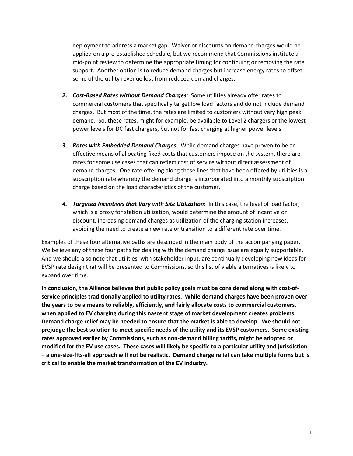deployment to address a market gap. Waiver or discounts on demand charges would be applied on a pre-established schedule, but we recommend that Commissions institute a mid-point review to determine the appropriate timing for continuing or removing the rate support. Another option is to reduce demand charges but increase energy rates to offset some of the utility revenue lost from reduced demand charges.

- *2. Cost-Based Rates without Demand Charges:* Some utilities already offer rates to commercial customers that specifically target low load factors and do not include demand charges. But most of the time, the rates are limited to customers without very high peak demand. So, these rates, might for example, be available to Level 2 chargers or the lowest power levels for DC fast chargers, but not for fast charging at higher power levels.
- *3. Rates with Embedded Demand Charges*: While demand charges have proven to be an effective means of allocating fixed costs that customers impose on the system, there are rates for some use cases that can reflect cost of service without direct assessment of demand charges. One rate offering along these lines that have been offered by utilities is a subscription rate whereby the demand charge is incorporated into a monthly subscription charge based on the load characteristics of the customer.
- *4. Targeted Incentives that Vary with Site Utilization*: In this case, the level of load factor, which is a proxy for station utilization, would determine the amount of incentive or discount, increasing demand charges as utilization of the charging station increases, avoiding the need to create a new rate or transition to a different rate over time.

Examples of these four alternative paths are described in the main body of the accompanying paper. We believe any of these four paths for dealing with the demand charge issue are equally supportable. And we should also note that utilities, with stakeholder input, are continually developing new ideas for EVSP rate design that will be presented to Commissions, so this list of viable alternatives is likely to expand over time.

**In conclusion, the Alliance believes that public policy goals must be considered along with cost-ofservice principles traditionally applied to utility rates. While demand charges have been proven over the years to be a means to reliably, efficiently, and fairly allocate costs to commercial customers, when applied to EV charging during this nascent stage of market development creates problems. Demand charge relief may be needed to ensure that the market is able to develop. We should not prejudge the best solution to meet specific needs of the utility and its EVSP customers. Some existing rates approved earlier by Commissions, such as non-demand billing tariffs, might be adopted or modified for the EV use cases. These cases will likely be specific to a particular utility and jurisdiction – a one-size-fits-all approach will not be realistic. Demand charge relief can take multiple forms but is critical to enable the market transformation of the EV industry.**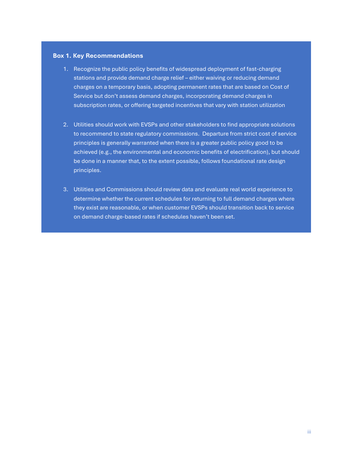### **Box 1. Key Recommendations**

- 1. Recognize the public policy benefits of widespread deployment of fast-charging stations and provide demand charge relief – either waiving or reducing demand charges on a temporary basis, adopting permanent rates that are based on Cost of Service but don't assess demand charges, incorporating demand charges in subscription rates, or offering targeted incentives that vary with station utilization
- 2. Utilities should work with EVSPs and other stakeholders to find appropriate solutions to recommend to state regulatory commissions. Departure from strict cost of service principles is generally warranted when there is a greater public policy good to be achieved (e.g., the environmental and economic benefits of electrification), but should be done in a manner that, to the extent possible, follows foundational rate design principles.
- 3. Utilities and Commissions should review data and evaluate real world experience to determine whether the current schedules for returning to full demand charges where they exist are reasonable, or when customer EVSPs should transition back to service on demand charge-based rates if schedules haven't been set.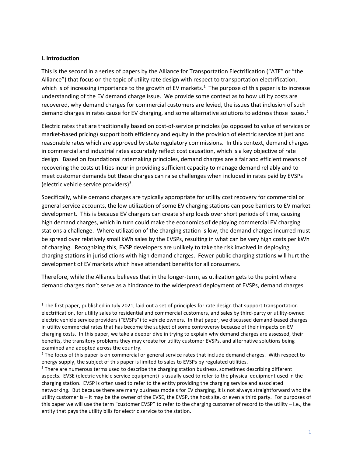### **I. Introduction**

This is the second in a series of papers by the Alliance for Transportation Electrification ("ATE" or "the Alliance") that focus on the topic of utility rate design with respect to transportation electrification, which is of increasing importance to the growth of EV markets.<sup>[1](#page-5-0)</sup> The purpose of this paper is to increase understanding of the EV demand charge issue. We provide some context as to how utility costs are recovered, why demand charges for commercial customers are levied, the issues that inclusion of such demand charges in rates cause for EV charging, and some alternative solutions to address those issues.<sup>[2](#page-5-1)</sup>

Electric rates that are traditionally based on cost-of-service principles (as opposed to value of services or market-based pricing) support both efficiency and equity in the provision of electric service at just and reasonable rates which are approved by state regulatory commissions. In this context, demand charges in commercial and industrial rates accurately reflect cost causation, which is a key objective of rate design. Based on foundational ratemaking principles, demand charges are a fair and efficient means of recovering the costs utilities incur in providing sufficient capacity to manage demand reliably and to meet customer demands but these charges can raise challenges when included in rates paid by EVSPs (electric vehicle service providers)<sup>[3](#page-5-2)</sup>.

Specifically, while demand charges are typically appropriate for utility cost recovery for commercial or general service accounts, the low utilization of some EV charging stations can pose barriers to EV market development. This is because EV chargers can create sharp loads over short periods of time, causing high demand charges, which in turn could make the economics of deploying commercial EV charging stations a challenge. Where utilization of the charging station is low, the demand charges incurred must be spread over relatively small kWh sales by the EVSPs, resulting in what can be very high costs per kWh of charging. Recognizing this, EVSP developers are unlikely to take the risk involved in deploying charging stations in jurisdictions with high demand charges. Fewer public charging stations will hurt the development of EV markets which have attendant benefits for all consumers.

Therefore, while the Alliance believes that in the longer-term, as utilization gets to the point where demand charges don't serve as a hindrance to the widespread deployment of EVSPs, demand charges

<span id="page-5-0"></span> $1$  The first paper, published in July 2021, laid out a set of principles for rate design that support transportation electrification, for utility sales to residential and commercial customers, and sales by third-party or utility-owned electric vehicle service providers ("EVSPs") to vehicle owners. In that paper, we discussed demand-based charges in utility commercial rates that has become the subject of some controversy because of their impacts on EV charging costs. In this paper, we take a deeper dive in trying to explain why demand charges are assessed, their benefits, the transitory problems they may create for utility customer EVSPs, and alternative solutions being examined and adopted across the country.

<span id="page-5-1"></span><sup>&</sup>lt;sup>2</sup> The focus of this paper is on commercial or general service rates that include demand charges. With respect to energy supply, the subject of this paper is limited to sales to EVSPs by regulated utilities.<br><sup>3</sup> There are numerous terms used to describe the charging station business, sometimes describing different

<span id="page-5-2"></span>aspects. EVSE (electric vehicle service equipment) is usually used to refer to the physical equipment used in the charging station. EVSP is often used to refer to the entity providing the charging service and associated networking. But because there are many business models for EV charging, it is not always straightforward who the utility customer is – it may be the owner of the EVSE, the EVSP, the host site, or even a third party. For purposes of this paper we will use the term "customer EVSP" to refer to the charging customer of record to the utility – i.e., the entity that pays the utility bills for electric service to the station.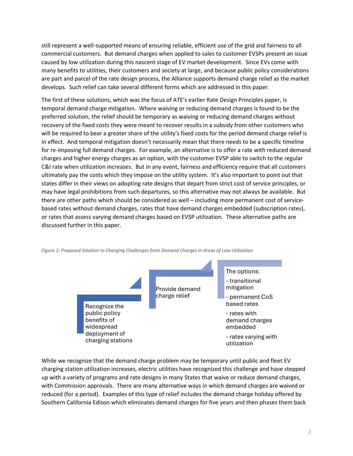still represent a well-supported means of ensuring reliable, efficient use of the grid and fairness to all commercial customers. But demand charges when applied to sales to customer EVSPs present an issue caused by low utilization during this nascent stage of EV market development. Since EVs come with many benefits to utilities, their customers and society at large, and because public policy considerations are part and parcel of the rate design process, the Alliance supports demand charge relief as the market develops. Such relief can take several different forms which are addressed in this paper.

The first of these solutions, which was the focus of ATE's earlier Rate Design Principles paper, is temporal demand charge mitigation. Where waiving or reducing demand charges is found to be the preferred solution, the relief should be temporary as waiving or reducing demand charges without recovery of the fixed costs they were meant to recover results in a subsidy from other customers who will be required to bear a greater share of the utility's fixed costs for the period demand charge relief is in effect. And temporal mitigation doesn't necessarily mean that there needs to be a specific timeline for re-imposing full demand charges. For example, an alternative is to offer a rate with reduced demand charges and higher energy charges as an option, with the customer EVSP able to switch to the regular C&I rate when utilization increases. But in any event, fairness and efficiency require that all customers ultimately pay the costs which they impose on the utility system. It's also important to point out that states differ in their views on adopting rate designs that depart from strict cost of service principles, or may have legal prohibitions from such departures, so this alternative may not always be available. But there are other paths which should be considered as well – including more permanent cost of servicebased rates without demand charges, rates that have demand charges embedded (subscription rates), or rates that assess varying demand charges based on EVSP utilization. These alternative paths are discussed further in this paper.



*Figure 1: Proposed Solution to Charging Challenges from Demand Charges in Areas of Low Utilization* 

While we recognize that the demand charge problem may be temporary until public and fleet EV charging station utilization increases, electric utilities have recognized this challenge and have stepped up with a variety of programs and rate designs in many States that waive or reduce demand charges, with Commission approvals. There are many alternative ways in which demand charges are waived or reduced (for a period). Examples of this type of relief includes the demand charge holiday offered by Southern California Edison which eliminates demand charges for five years and then phases them back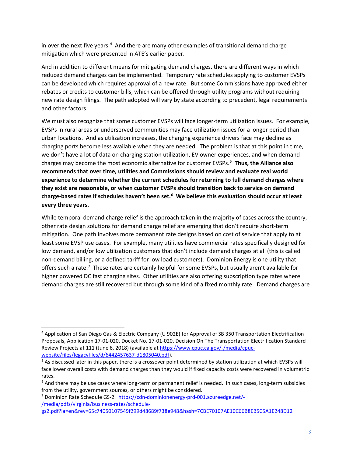in over the next five years.<sup>[4](#page-7-0)</sup> And there are many other examples of transitional demand charge mitigation which were presented in ATE's earlier paper.

And in addition to different means for mitigating demand charges, there are different ways in which reduced demand charges can be implemented. Temporary rate schedules applying to customer EVSPs can be developed which requires approval of a new rate. But some Commissions have approved either rebates or credits to customer bills, which can be offered through utility programs without requiring new rate design filings. The path adopted will vary by state according to precedent, legal requirements and other factors.

We must also recognize that some customer EVSPs will face longer-term utilization issues. For example, EVSPs in rural areas or underserved communities may face utilization issues for a longer period than urban locations. And as utilization increases, the charging experience drivers face may decline as charging ports become less available when they are needed. The problem is that at this point in time, we don't have a lot of data on charging station utilization, EV owner experiences, and when demand charges may become the most economic alternative for customer EVSPs.[5](#page-7-1) **Thus, the Alliance also recommends that over time, utilities and Commissions should review and evaluate real world experience to determine whether the current schedules for returning to full demand charges where they exist are reasonable, or when customer EVSPs should transition back to service on demand charge-based rates if schedules haven't been set. [6](#page-7-2) We believe this evaluation should occur at least every three years.** 

While temporal demand charge relief is the approach taken in the majority of cases across the country, other rate design solutions for demand charge relief are emerging that don't require short-term mitigation. One path involves more permanent rate designs based on cost of service that apply to at least some EVSP use cases. For example, many utilities have commercial rates specifically designed for low demand, and/or low utilization customers that don't include demand charges at all (this is called non-demand billing, or a defined tariff for low load customers). Dominion Energy is one utility that offers such a rate.<sup>[7](#page-7-3)</sup> These rates are certainly helpful for some EVSPs, but usually aren't available for higher powered DC fast charging sites. Other utilities are also offering subscription type rates where demand charges are still recovered but through some kind of a fixed monthly rate. Demand charges are

<span id="page-7-0"></span><sup>4</sup> Application of San Diego Gas & Electric Company (U 902E) for Approval of SB 350 Transportation Electrification Proposals, Application 17-01-020, Docket No. 17-01-020, Decision On The Transportation Electrification Standard Review Projects at 111 (June 6, 2018) (available a[t https://www.cpuc.ca.gov/-/media/cpuc](https://www.cpuc.ca.gov/-/media/cpuc-website/files/legacyfiles/d/6442457637-d1805040.pdf)[website/files/legacyfiles/d/6442457637-d1805040.pdf\)](https://www.cpuc.ca.gov/-/media/cpuc-website/files/legacyfiles/d/6442457637-d1805040.pdf).

<span id="page-7-1"></span><sup>5</sup> As discussed later in this paper, there is a crossover point determined by station utilization at which EVSPs will face lower overall costs with demand charges than they would if fixed capacity costs were recovered in volumetric rates.

<span id="page-7-2"></span> $6$  And there may be use cases where long-term or permanent relief is needed. In such cases, long-term subsidies from the utility, government sources, or others might be considered.

<span id="page-7-3"></span><sup>7</sup> Dominion Rate Schedule GS-2. [https://cdn-dominionenergy-prd-001.azureedge.net/-](https://cdn-dominionenergy-prd-001.azureedge.net/-/media/pdfs/virginia/business-rates/schedule-gs2.pdf?la=en&rev=65c74050107549f299d48689f738e948&hash=7CBE70107AE10C66B8EB5C5A1E248D12) [/media/pdfs/virginia/business-rates/schedule](https://cdn-dominionenergy-prd-001.azureedge.net/-/media/pdfs/virginia/business-rates/schedule-gs2.pdf?la=en&rev=65c74050107549f299d48689f738e948&hash=7CBE70107AE10C66B8EB5C5A1E248D12)[gs2.pdf?la=en&rev=65c74050107549f299d48689f738e948&hash=7CBE70107AE10C66B8EB5C5A1E248D12](https://cdn-dominionenergy-prd-001.azureedge.net/-/media/pdfs/virginia/business-rates/schedule-gs2.pdf?la=en&rev=65c74050107549f299d48689f738e948&hash=7CBE70107AE10C66B8EB5C5A1E248D12)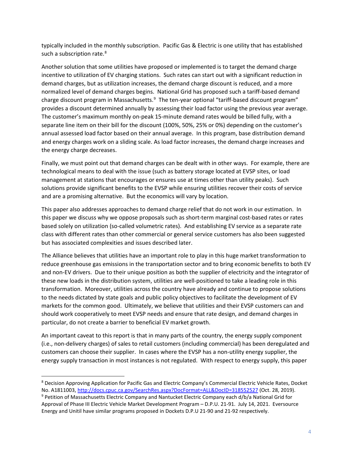typically included in the monthly subscription. Pacific Gas & Electric is one utility that has established such a subscription rate.<sup>[8](#page-8-0)</sup>

Another solution that some utilities have proposed or implemented is to target the demand charge incentive to utilization of EV charging stations. Such rates can start out with a significant reduction in demand charges, but as utilization increases, the demand charge discount is reduced, and a more normalized level of demand charges begins. National Grid has proposed such a tariff-based demand charge discount program in Massachusetts.<sup>[9](#page-8-1)</sup> The ten-year optional "tariff-based discount program" provides a discount determined annually by assessing their load factor using the previous year average. The customer's maximum monthly on-peak 15-minute demand rates would be billed fully, with a separate line item on their bill for the discount (100%, 50%, 25% or 0%) depending on the customer's annual assessed load factor based on their annual average. In this program, base distribution demand and energy charges work on a sliding scale. As load factor increases, the demand charge increases and the energy charge decreases.

Finally, we must point out that demand charges can be dealt with in other ways. For example, there are technological means to deal with the issue (such as battery storage located at EVSP sites, or load management at stations that encourages or ensures use at times other than utility peaks). Such solutions provide significant benefits to the EVSP while ensuring utilities recover their costs of service and are a promising alternative. But the economics will vary by location.

This paper also addresses approaches to demand charge relief that do not work in our estimation. In this paper we discuss why we oppose proposals such as short-term marginal cost-based rates or rates based solely on utilization (so-called volumetric rates). And establishing EV service as a separate rate class with different rates than other commercial or general service customers has also been suggested but has associated complexities and issues described later.

The Alliance believes that utilities have an important role to play in this huge market transformation to reduce greenhouse gas emissions in the transportation sector and to bring economic benefits to both EV and non-EV drivers. Due to their unique position as both the supplier of electricity and the integrator of these new loads in the distribution system, utilities are well-positioned to take a leading role in this transformation. Moreover, utilities across the country have already and continue to propose solutions to the needs dictated by state goals and public policy objectives to facilitate the development of EV markets for the common good. Ultimately, we believe that utilities and their EVSP customers can and should work cooperatively to meet EVSP needs and ensure that rate design, and demand charges in particular, do not create a barrier to beneficial EV market growth.

An important caveat to this report is that in many parts of the country, the energy supply component (i.e., non-delivery charges) of sales to retail customers (including commercial) has been deregulated and customers can choose their supplier. In cases where the EVSP has a non-utility energy supplier, the energy supply transaction in most instances is not regulated. With respect to energy supply, this paper

<span id="page-8-1"></span><span id="page-8-0"></span><sup>8</sup> Decision Approving Application for Pacific Gas and Electric Company's Commercial Electric Vehicle Rates, Docket No. A1811003[, http://docs.cpuc.ca.gov/SearchRes.aspx?DocFormat=ALL&DocID=318552527](http://docs.cpuc.ca.gov/SearchRes.aspx?DocFormat=ALL&DocID=318552527) (Oct. 28, 2019). <sup>9</sup> Petition of Massachusetts Electric Company and Nantucket Electric Company each d/b/a National Grid for Approval of Phase III Electric Vehicle Market Development Program – D.P.U. 21-91. July 14, 2021. Eversource Energy and Unitil have similar programs proposed in Dockets D.P.U 21-90 and 21-92 respectively.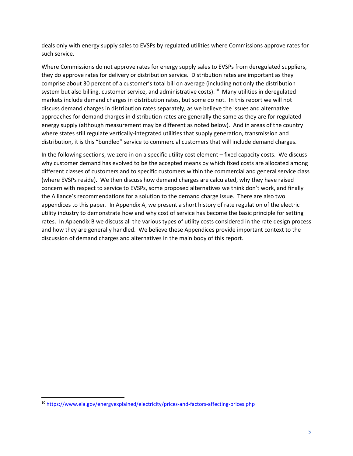deals only with energy supply sales to EVSPs by regulated utilities where Commissions approve rates for such service.

Where Commissions do not approve rates for energy supply sales to EVSPs from deregulated suppliers, they do approve rates for delivery or distribution service. Distribution rates are important as they comprise about 30 percent of a customer's total bill on average (including not only the distribution system but also billing, customer service, and administrative costs). [10](#page-9-0) Many utilities in deregulated markets include demand charges in distribution rates, but some do not. In this report we will not discuss demand charges in distribution rates separately, as we believe the issues and alternative approaches for demand charges in distribution rates are generally the same as they are for regulated energy supply (although measurement may be different as noted below). And in areas of the country where states still regulate vertically-integrated utilities that supply generation, transmission and distribution, it is this "bundled" service to commercial customers that will include demand charges.

In the following sections, we zero in on a specific utility cost element – fixed capacity costs. We discuss why customer demand has evolved to be the accepted means by which fixed costs are allocated among different classes of customers and to specific customers within the commercial and general service class (where EVSPs reside). We then discuss how demand charges are calculated, why they have raised concern with respect to service to EVSPs, some proposed alternatives we think don't work, and finally the Alliance's recommendations for a solution to the demand charge issue. There are also two appendices to this paper. In Appendix A, we present a short history of rate regulation of the electric utility industry to demonstrate how and why cost of service has become the basic principle for setting rates. In Appendix B we discuss all the various types of utility costs considered in the rate design process and how they are generally handled. We believe these Appendices provide important context to the discussion of demand charges and alternatives in the main body of this report.

<span id="page-9-0"></span><sup>10</sup> <https://www.eia.gov/energyexplained/electricity/prices-and-factors-affecting-prices.php>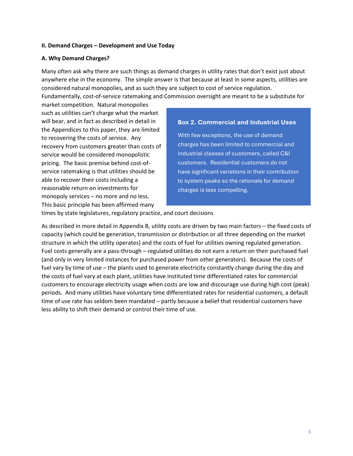#### **II. Demand Charges – Development and Use Today**

### **A. Why Demand Charges?**

Many often ask why there are such things as demand charges in utility rates that don't exist just about anywhere else in the economy. The simple answer is that because at least in some aspects, utilities are considered natural monopolies, and as such they are subject to cost of service regulation.

Fundamentally, cost-of-service ratemaking and Commission oversight are meant to be a substitute for

market competition. Natural monopolies such as utilities can't charge what the market will bear, and in fact as described in detail in the Appendices to this paper, they are limited to recovering the costs of service. Any recovery from customers greater than costs of service would be considered monopolistic pricing. The basic premise behind cost-ofservice ratemaking is that utilities should be able to recover their costs including a reasonable return on investments for monopoly services – no more and no less. This basic principle has been affirmed many

### **Box 2. Commercial and Industrial Uses**

With few exceptions, the use of demand charges has been limited to commercial and industrial classes of customers, called C&I customers. Residential customers do not have significant variations in their contribution to system peaks so the rationale for demand charges is less compelling.

times by state legislatures, regulatory practice, and court decisions

As described in more detail in Appendix B, utility costs are driven by two main factors – the fixed costs of capacity (which could be generation, transmission or distribution or all three depending on the market structure in which the utility operates) and the costs of fuel for utilities owning regulated generation. Fuel costs generally are a pass-through – regulated utilities do not earn a return on their purchased fuel (and only in very limited instances for purchased power from other generators). Because the costs of fuel vary by time of use – the plants used to generate electricity constantly change during the day and the costs of fuel vary at each plant, utilities have instituted time differentiated rates for commercial customers to encourage electricity usage when costs are low and discourage use during high cost (peak) periods. And many utilities have voluntary time differentiated rates for residential customers, a default time of use rate has seldom been mandated – partly because a belief that residential customers have less ability to shift their demand or control their time of use.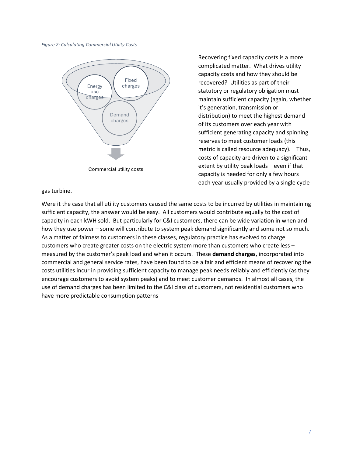*Figure 2: Calculating Commercial Utility Costs*



Recovering fixed capacity costs is a more complicated matter. What drives utility capacity costs and how they should be recovered? Utilities as part of their statutory or regulatory obligation must maintain sufficient capacity (again, whether it's generation, transmission or distribution) to meet the highest demand of its customers over each year with sufficient generating capacity and spinning reserves to meet customer loads (this metric is called resource adequacy). Thus, costs of capacity are driven to a significant extent by utility peak loads – even if that capacity is needed for only a few hours each year usually provided by a single cycle

### gas turbine.

Were it the case that all utility customers caused the same costs to be incurred by utilities in maintaining sufficient capacity, the answer would be easy. All customers would contribute equally to the cost of capacity in each kWH sold. But particularly for C&I customers, there can be wide variation in when and how they use power – some will contribute to system peak demand significantly and some not so much. As a matter of fairness to customers in these classes, regulatory practice has evolved to charge customers who create greater costs on the electric system more than customers who create less – measured by the customer's peak load and when it occurs. These **demand charges**, incorporated into commercial and general service rates, have been found to be a fair and efficient means of recovering the costs utilities incur in providing sufficient capacity to manage peak needs reliably and efficiently (as they encourage customers to avoid system peaks) and to meet customer demands. In almost all cases, the use of demand charges has been limited to the C&I class of customers, not residential customers who have more predictable consumption patterns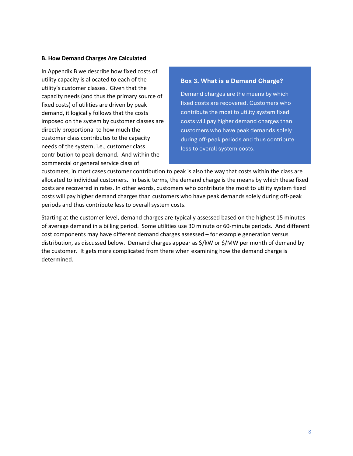#### **B. How Demand Charges Are Calculated**

In Appendix B we describe how fixed costs of utility capacity is allocated to each of the utility's customer classes. Given that the capacity needs (and thus the primary source of fixed costs) of utilities are driven by peak demand, it logically follows that the costs imposed on the system by customer classes are directly proportional to how much the customer class contributes to the capacity needs of the system, i.e., customer class contribution to peak demand. And within the commercial or general service class of

### **Box 3. What is a Demand Charge?**

Demand charges are the means by which fixed costs are recovered. Customers who contribute the most to utility system fixed costs will pay higher demand charges than customers who have peak demands solely during off-peak periods and thus contribute less to overall system costs.

customers, in most cases customer contribution to peak is also the way that costs within the class are allocated to individual customers. In basic terms, the demand charge is the means by which these fixed costs are recovered in rates. In other words, customers who contribute the most to utility system fixed costs will pay higher demand charges than customers who have peak demands solely during off-peak periods and thus contribute less to overall system costs.

Starting at the customer level, demand charges are typically assessed based on the highest 15 minutes of average demand in a billing period. Some utilities use 30 minute or 60-minute periods. And different cost components may have different demand charges assessed – for example generation versus distribution, as discussed below. Demand charges appear as \$/kW or \$/MW per month of demand by the customer. It gets more complicated from there when examining how the demand charge is determined.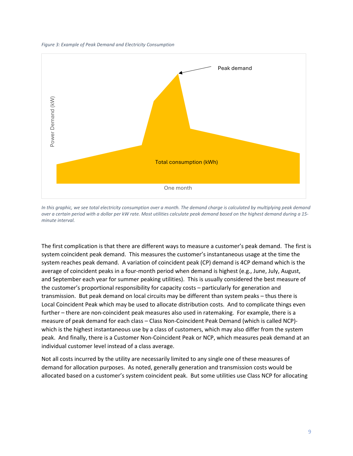



In this graphic, we see total electricity consumption over a month. The demand charge is calculated by multiplying peak demand *over a certain period with a dollar per kW rate. Most utilities calculate peak demand based on the highest demand during a 15 minute interval.*

The first complication is that there are different ways to measure a customer's peak demand. The first is system coincident peak demand. This measures the customer's instantaneous usage at the time the system reaches peak demand. A variation of coincident peak (CP) demand is 4CP demand which is the average of coincident peaks in a four-month period when demand is highest (e.g., June, July, August, and September each year for summer peaking utilities). This is usually considered the best measure of the customer's proportional responsibility for capacity costs – particularly for generation and transmission. But peak demand on local circuits may be different than system peaks – thus there is Local Coincident Peak which may be used to allocate distribution costs. And to complicate things even further – there are non-coincident peak measures also used in ratemaking. For example, there is a measure of peak demand for each class – Class Non-Coincident Peak Demand (which is called NCP) which is the highest instantaneous use by a class of customers, which may also differ from the system peak. And finally, there is a Customer Non-Coincident Peak or NCP, which measures peak demand at an individual customer level instead of a class average.

Not all costs incurred by the utility are necessarily limited to any single one of these measures of demand for allocation purposes. As noted, generally generation and transmission costs would be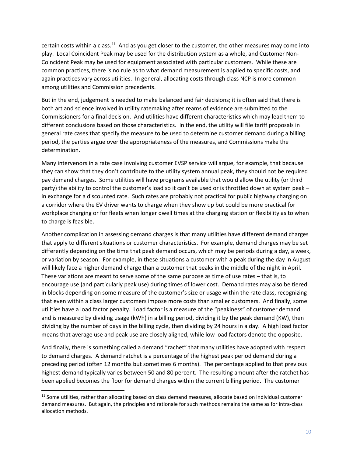certain costs within a class.<sup>11</sup> And as you get closer to the customer, the other measures may come into play. Local Coincident Peak may be used for the distribution system as a whole, and Customer Non-Coincident Peak may be used for equipment associated with particular customers. While these are common practices, there is no rule as to what demand measurement is applied to specific costs, and again practices vary across utilities. In general, allocating costs through class NCP is more common among utilities and Commission precedents.

But in the end, judgement is needed to make balanced and fair decisions; it is often said that there is both art and science involved in utility ratemaking after reams of evidence are submitted to the Commissioners for a final decision. And utilities have different characteristics which may lead them to different conclusions based on those characteristics. In the end, the utility will file tariff proposals in general rate cases that specify the measure to be used to determine customer demand during a billing period, the parties argue over the appropriateness of the measures, and Commissions make the determination.

Many intervenors in a rate case involving customer EVSP service will argue, for example, that because they can show that they don't contribute to the utility system annual peak, they should not be required pay demand charges. Some utilities will have programs available that would allow the utility (or third party) the ability to control the customer's load so it can't be used or is throttled down at system peak – in exchange for a discounted rate. Such rates are probably not practical for public highway charging on a corridor where the EV driver wants to charge when they show up but could be more practical for workplace charging or for fleets when longer dwell times at the charging station or flexibility as to when to charge is feasible.

Another complication in assessing demand charges is that many utilities have different demand charges that apply to different situations or customer characteristics. For example, demand charges may be set differently depending on the time that peak demand occurs, which may be periods during a day, a week, or variation by season. For example, in these situations a customer with a peak during the day in August will likely face a higher demand charge than a customer that peaks in the middle of the night in April. These variations are meant to serve some of the same purpose as time of use rates – that is, to encourage use (and particularly peak use) during times of lower cost. Demand rates may also be tiered in blocks depending on some measure of the customer's size or usage within the rate class, recognizing that even within a class larger customers impose more costs than smaller customers. And finally, some utilities have a load factor penalty. Load factor is a measure of the "peakiness" of customer demand and is measured by dividing usage (kWh) in a billing period, dividing it by the peak demand (KW), then dividing by the number of days in the billing cycle, then dividing by 24 hours in a day. A high load factor means that average use and peak use are closely aligned, while low load factors denote the opposite.

And finally, there is something called a demand "rachet" that many utilities have adopted with respect to demand charges. A demand ratchet is a percentage of the highest peak period demand during a preceding period (often 12 months but sometimes 6 months). The percentage applied to that previous highest demand typically varies between 50 and 80 percent. The resulting amount after the ratchet has been applied becomes the floor for demand charges within the current billing period. The customer

<span id="page-14-0"></span> $11$  Some utilities, rather than allocating based on class demand measures, allocate based on individual customer demand measures. But again, the principles and rationale for such methods remains the same as for intra-class allocation methods.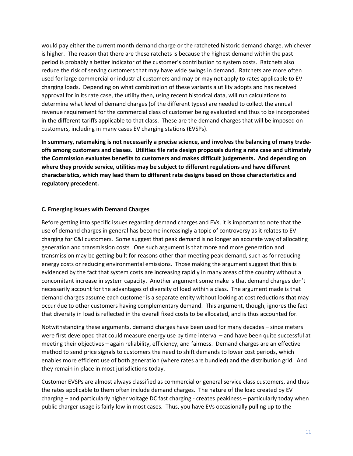would pay either the current month demand charge or the ratcheted historic demand charge, whichever is higher. The reason that there are these ratchets is because the highest demand within the past period is probably a better indicator of the customer's contribution to system costs. Ratchets also reduce the risk of serving customers that may have wide swings in demand. Ratchets are more often used for large commercial or industrial customers and may or may not apply to rates applicable to EV charging loads. Depending on what combination of these variants a utility adopts and has received approval for in its rate case, the utility then, using recent historical data, will run calculations to determine what level of demand charges (of the different types) are needed to collect the annual revenue requirement for the commercial class of customer being evaluated and thus to be incorporated in the different tariffs applicable to that class. These are the demand charges that will be imposed on customers, including in many cases EV charging stations (EVSPs).

**In summary, ratemaking is not necessarily a precise science, and involves the balancing of many tradeoffs among customers and classes. Utilities file rate design proposals during a rate case and ultimately the Commission evaluates benefits to customers and makes difficult judgements. And depending on where they provide service, utilities may be subject to different regulations and have different characteristics, which may lead them to different rate designs based on those characteristics and regulatory precedent.**

### **C. Emerging Issues with Demand Charges**

Before getting into specific issues regarding demand charges and EVs, it is important to note that the use of demand charges in general has become increasingly a topic of controversy as it relates to EV charging for C&I customers. Some suggest that peak demand is no longer an accurate way of allocating generation and transmission costs One such argument is that more and more generation and transmission may be getting built for reasons other than meeting peak demand, such as for reducing energy costs or reducing environmental emissions. Those making the argument suggest that this is evidenced by the fact that system costs are increasing rapidly in many areas of the country without a concomitant increase in system capacity. Another argument some make is that demand charges don't necessarily account for the advantages of diversity of load within a class. The argument made is that demand charges assume each customer is a separate entity without looking at cost reductions that may occur due to other customers having complementary demand. This argument, though, ignores the fact that diversity in load is reflected in the overall fixed costs to be allocated, and is thus accounted for.

Notwithstanding these arguments, demand charges have been used for many decades – since meters were first developed that could measure energy use by time interval – and have been quite successful at meeting their objectives – again reliability, efficiency, and fairness. Demand charges are an effective method to send price signals to customers the need to shift demands to lower cost periods, which enables more efficient use of both generation (where rates are bundled) and the distribution grid. And they remain in place in most jurisdictions today.

Customer EVSPs are almost always classified as commercial or general service class customers, and thus the rates applicable to them often include demand charges. The nature of the load created by EV charging – and particularly higher voltage DC fast charging - creates peakiness – particularly today when public charger usage is fairly low in most cases. Thus, you have EVs occasionally pulling up to the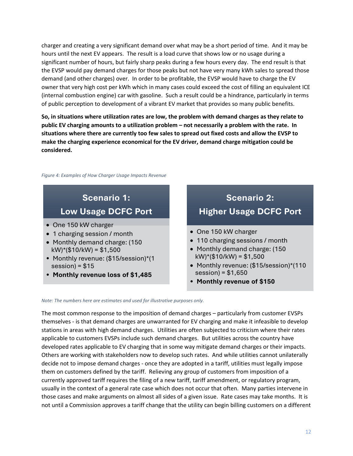charger and creating a very significant demand over what may be a short period of time. And it may be hours until the next EV appears. The result is a load curve that shows low or no usage during a significant number of hours, but fairly sharp peaks during a few hours every day. The end result is that the EVSP would pay demand charges for those peaks but not have very many kWh sales to spread those demand (and other charges) over. In order to be profitable, the EVSP would have to charge the EV owner that very high cost per kWh which in many cases could exceed the cost of filling an equivalent ICE (internal combustion engine) car with gasoline. Such a result could be a hindrance, particularly in terms of public perception to development of a vibrant EV market that provides so many public benefits.

**So, in situations where utilization rates are low, the problem with demand charges as they relate to public EV charging amounts to a utilization problem – not necessarily a problem with the rate. In situations where there are currently too few sales to spread out fixed costs and allow the EVSP to make the charging experience economical for the EV driver, demand charge mitigation could be considered.**

*Figure 4: Examples of How Charger Usage Impacts Revenue*

### **Scenario 1: Low Usage DCFC Port**

- One 150 kW charger
- 1 charging session / month
- Monthly demand charge: (150 kW)\*(\$10/kW) = \$1,500
- Monthly revenue: (\$15/session)\*(1 session) =  $$15$
- **Monthly revenue loss of \$1,485**

### **Scenario 2: Higher Usage DCFC Port**

- One 150 kW charger
- 110 charging sessions / month
- Monthly demand charge: (150 kW)\*(\$10/kW) = \$1,500
- Monthly revenue: (\$15/session)\*(110 session) = \$1,650
- **Monthly revenue of \$150**

#### *Note: The numbers here are estimates and used for illustrative purposes only.*

The most common response to the imposition of demand charges – particularly from customer EVSPs themselves - is that demand charges are unwarranted for EV charging and make it infeasible to develop stations in areas with high demand charges. Utilities are often subjected to criticism where their rates applicable to customers EVSPs include such demand charges. But utilities across the country have developed rates applicable to EV charging that in some way mitigate demand charges or their impacts. Others are working with stakeholders now to develop such rates. And while utilities cannot unilaterally decide not to impose demand charges - once they are adopted in a tariff, utilities must legally impose them on customers defined by the tariff. Relieving any group of customers from imposition of a currently approved tariff requires the filing of a new tariff, tariff amendment, or regulatory program, usually in the context of a general rate case which does not occur that often. Many parties intervene in those cases and make arguments on almost all sides of a given issue. Rate cases may take months. It is not until a Commission approves a tariff change that the utility can begin billing customers on a different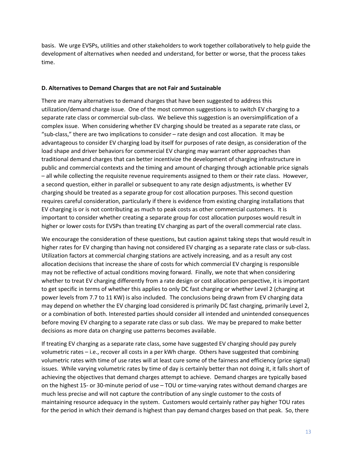basis. We urge EVSPs, utilities and other stakeholders to work together collaboratively to help guide the development of alternatives when needed and understand, for better or worse, that the process takes time.

#### **D. Alternatives to Demand Charges that are not Fair and Sustainable**

There are many alternatives to demand charges that have been suggested to address this utilization/demand charge issue. One of the most common suggestions is to switch EV charging to a separate rate class or commercial sub-class. We believe this suggestion is an oversimplification of a complex issue. When considering whether EV charging should be treated as a separate rate class, or "sub-class," there are two implications to consider – rate design and cost allocation. It may be advantageous to consider EV charging load by itself for purposes of rate design, as consideration of the load shape and driver behaviors for commercial EV charging may warrant other approaches than traditional demand charges that can better incentivize the development of charging infrastructure in public and commercial contexts and the timing and amount of charging through actionable price signals – all while collecting the requisite revenue requirements assigned to them or their rate class. However, a second question, either in parallel or subsequent to any rate design adjustments, is whether EV charging should be treated as a separate group for cost allocation purposes. This second question requires careful consideration, particularly if there is evidence from existing charging installations that EV charging is or is not contributing as much to peak costs as other commercial customers. It is important to consider whether creating a separate group for cost allocation purposes would result in higher or lower costs for EVSPs than treating EV charging as part of the overall commercial rate class.

We encourage the consideration of these questions, but caution against taking steps that would result in higher rates for EV charging than having not considered EV charging as a separate rate class or sub-class. Utilization factors at commercial charging stations are actively increasing, and as a result any cost allocation decisions that increase the share of costs for which commercial EV charging is responsible may not be reflective of actual conditions moving forward. Finally, we note that when considering whether to treat EV charging differently from a rate design or cost allocation perspective, it is important to get specific in terms of whether this applies to only DC fast charging or whether Level 2 (charging at power levels from 7.7 to 11 KW) is also included. The conclusions being drawn from EV charging data may depend on whether the EV charging load considered is primarily DC fast charging, primarily Level 2, or a combination of both. Interested parties should consider all intended and unintended consequences before moving EV charging to a separate rate class or sub class. We may be prepared to make better decisions as more data on charging use patterns becomes available.

If treating EV charging as a separate rate class, some have suggested EV charging should pay purely volumetric rates – i.e., recover all costs in a per kWh charge. Others have suggested that combining volumetric rates with time of use rates will at least cure some of the fairness and efficiency (price signal) issues. While varying volumetric rates by time of day is certainly better than not doing it, it falls short of achieving the objectives that demand charges attempt to achieve. Demand charges are typically based on the highest 15- or 30-minute period of use – TOU or time-varying rates without demand charges are much less precise and will not capture the contribution of any single customer to the costs of maintaining resource adequacy in the system. Customers would certainly rather pay higher TOU rates for the period in which their demand is highest than pay demand charges based on that peak. So, there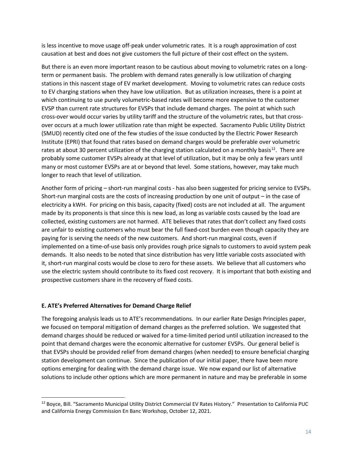is less incentive to move usage off-peak under volumetric rates. It is a rough approximation of cost causation at best and does not give customers the full picture of their cost effect on the system.

But there is an even more important reason to be cautious about moving to volumetric rates on a longterm or permanent basis. The problem with demand rates generally is low utilization of charging stations in this nascent stage of EV market development. Moving to volumetric rates can reduce costs to EV charging stations when they have low utilization. But as utilization increases, there is a point at which continuing to use purely volumetric-based rates will become more expensive to the customer EVSP than current rate structures for EVSPs that include demand charges. The point at which such cross-over would occur varies by utility tariff and the structure of the volumetric rates, but that crossover occurs at a much lower utilization rate than might be expected. Sacramento Public Utility District (SMUD) recently cited one of the few studies of the issue conducted by the Electric Power Research Institute (EPRI) that found that rates based on demand charges would be preferable over volumetric rates at about 30 percent utilization of the charging station calculated on a monthly basis<sup>12</sup>. There are probably some customer EVSPs already at that level of utilization, but it may be only a few years until many or most customer EVSPs are at or beyond that level. Some stations, however, may take much longer to reach that level of utilization.

Another form of pricing – short-run marginal costs - has also been suggested for pricing service to EVSPs. Short-run marginal costs are the costs of increasing production by one unit of output – in the case of electricity a kWH. For pricing on this basis, capacity (fixed) costs are not included at all. The argument made by its proponents is that since this is new load, as long as variable costs caused by the load are collected, existing customers are not harmed. ATE believes that rates that don't collect any fixed costs are unfair to existing customers who must bear the full fixed-cost burden even though capacity they are paying for is serving the needs of the new customers. And short-run marginal costs, even if implemented on a time-of-use basis only provides rough price signals to customers to avoid system peak demands. It also needs to be noted that since distribution has very little variable costs associated with it, short-run marginal costs would be close to zero for these assets. We believe that all customers who use the electric system should contribute to its fixed cost recovery. It is important that both existing and prospective customers share in the recovery of fixed costs.

### **E. ATE's Preferred Alternatives for Demand Charge Relief**

The foregoing analysis leads us to ATE's recommendations. In our earlier Rate Design Principles paper, we focused on temporal mitigation of demand charges as the preferred solution. We suggested that demand charges should be reduced or waived for a time-limited period until utilization increased to the point that demand charges were the economic alternative for customer EVSPs. Our general belief is that EVSPs should be provided relief from demand charges (when needed) to ensure beneficial charging station development can continue. Since the publication of our initial paper, there have been more options emerging for dealing with the demand charge issue. We now expand our list of alternative solutions to include other options which are more permanent in nature and may be preferable in some

<span id="page-18-0"></span><sup>&</sup>lt;sup>12</sup> Boyce, Bill. "Sacramento Municipal Utility District Commercial EV Rates History." Presentation to California PUC and California Energy Commission En Banc Workshop, October 12, 2021.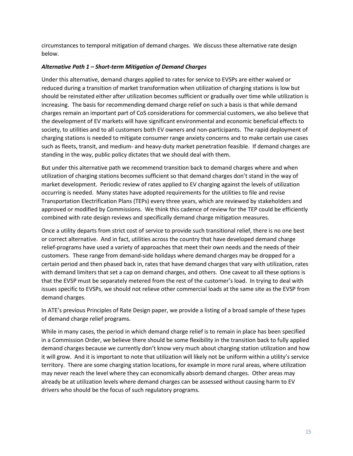circumstances to temporal mitigation of demand charges. We discuss these alternative rate design below.

### *Alternative Path 1 – Short-term Mitigation of Demand Charges*

Under this alternative, demand charges applied to rates for service to EVSPs are either waived or reduced during a transition of market transformation when utilization of charging stations is low but should be reinstated either after utilization becomes sufficient or gradually over time while utilization is increasing. The basis for recommending demand charge relief on such a basis is that while demand charges remain an important part of CoS considerations for commercial customers, we also believe that the development of EV markets will have significant environmental and economic beneficial effects to society, to utilities and to all customers both EV owners and non-participants. The rapid deployment of charging stations is needed to mitigate consumer range anxiety concerns and to make certain use cases such as fleets, transit, and medium- and heavy-duty market penetration feasible. If demand charges are standing in the way, public policy dictates that we should deal with them.

But under this alternative path we recommend transition back to demand charges where and when utilization of charging stations becomes sufficient so that demand charges don't stand in the way of market development. Periodic review of rates applied to EV charging against the levels of utilization occurring is needed. Many states have adopted requirements for the utilities to file and revise Transportation Electrification Plans (TEPs) every three years, which are reviewed by stakeholders and approved or modified by Commissions. We think this cadence of review for the TEP could be efficiently combined with rate design reviews and specifically demand charge mitigation measures.

Once a utility departs from strict cost of service to provide such transitional relief, there is no one best or correct alternative. And in fact, utilities across the country that have developed demand charge relief-programs have used a variety of approaches that meet their own needs and the needs of their customers. These range from demand-side holidays where demand charges may be dropped for a certain period and then phased back in, rates that have demand charges that vary with utilization, rates with demand limiters that set a cap on demand charges, and others. One caveat to all these options is that the EVSP must be separately metered from the rest of the customer's load. In trying to deal with issues specific to EVSPs, we should not relieve other commercial loads at the same site as the EVSP from demand charges.

In ATE's previous Principles of Rate Design paper, we provide a listing of a broad sample of these types of demand charge relief programs.

While in many cases, the period in which demand charge relief is to remain in place has been specified in a Commission Order, we believe there should be some flexibility in the transition back to fully applied demand charges because we currently don't know very much about charging station utilization and how it will grow. And it is important to note that utilization will likely not be uniform within a utility's service territory. There are some charging station locations, for example in more rural areas, where utilization may never reach the level where they can economically absorb demand charges. Other areas may already be at utilization levels where demand charges can be assessed without causing harm to EV drivers who should be the focus of such regulatory programs.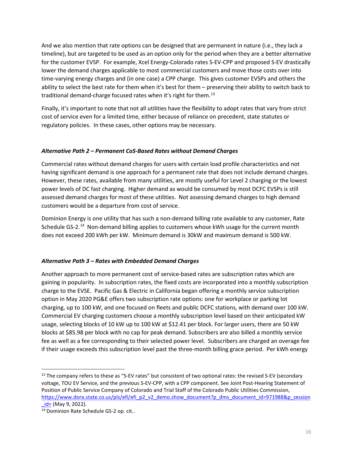And we also mention that rate options can be designed that are permanent in nature (i.e., they lack a timeline), but are targeted to be used as an option only for the period when they are a better alternative for the customer EVSP. For example, Xcel Energy-Colorado rates S-EV-CPP and proposed S-EV drastically lower the demand charges applicable to most commercial customers and move those costs over into time-varying energy charges and (in one case) a CPP charge. This gives customer EVSPs and others the ability to select the best rate for them when it's best for them – preserving their ability to switch back to traditional demand-charge focused rates when it's right for them.<sup>[13](#page-20-0)</sup>

Finally, it's important to note that not all utilities have the flexibility to adopt rates that vary from strict cost of service even for a limited time, either because of reliance on precedent, state statutes or regulatory policies. In these cases, other options may be necessary.

### *Alternative Path 2 – Permanent CoS-Based Rates without Demand Charges*

Commercial rates without demand charges for users with certain load profile characteristics and not having significant demand is one approach for a permanent rate that does not include demand charges. However, these rates, available from many utilities, are mostly useful for Level 2 charging or the lowest power levels of DC fast charging. Higher demand as would be consumed by most DCFC EVSPs is still assessed demand charges for most of these utilities. Not assessing demand charges to high demand customers would be a departure from cost of service.

Dominion Energy is one utility that has such a non-demand billing rate available to any customer, Rate Schedule GS-2.[14](#page-20-1) Non-demand billing applies to customers whose kWh usage for the current month does not exceed 200 kWh per kW. Minimum demand is 30kW and maximum demand is 500 kW.

### *Alternative Path 3 – Rates with Embedded Demand Charges*

Another approach to more permanent cost of service-based rates are subscription rates which are gaining in popularity. In subscription rates, the fixed costs are incorporated into a monthly subscription charge to the EVSE. Pacific Gas & Electric in California began offering a monthly service subscription option in May 2020 PG&E offers two subscription rate options: one for workplace or parking lot charging, up to 100 kW, and one focused on fleets and public DCFC stations, with demand over 100 kW. Commercial EV charging customers choose a monthly subscription level based on their anticipated kW usage, selecting blocks of 10 kW up to 100 kW at \$12.41 per block. For larger users, there are 50 kW blocks at \$85.98 per block with no cap for peak demand. Subscribers are also billed a monthly service fee as well as a fee corresponding to their selected power level. Subscribers are charged an overage fee if their usage exceeds this subscription level past the three-month billing grace period. Per kWh energy

<span id="page-20-0"></span><sup>&</sup>lt;sup>13</sup> The company refers to these as "S-EV rates" but consistent of two optional rates: the revised S-EV (secondary voltage, TOU EV Service, and the previous S-EV-CPP, with a CPP component. See Joint Post-Hearing Statement of Position of Public Service Company of Colorado and Trial Staff of the Colorado Public Utilities Commission, [https://www.dora.state.co.us/pls/efi/efi\\_p2\\_v2\\_demo.show\\_document?p\\_dms\\_document\\_id=971988&p\\_session](https://www.dora.state.co.us/pls/efi/efi_p2_v2_demo.show_document?p_dms_document_id=971988&p_session_id=%20) [\\_id=](https://www.dora.state.co.us/pls/efi/efi_p2_v2_demo.show_document?p_dms_document_id=971988&p_session_id=%20) (May 9, 2022).

<span id="page-20-1"></span><sup>14</sup> Dominion Rate Schedule GS-2 op. cit..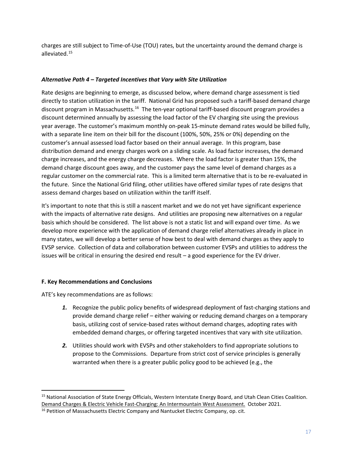charges are still subject to Time-of-Use (TOU) rates, but the uncertainty around the demand charge is alleviated.[15](#page-21-0)

### *Alternative Path 4 – Targeted Incentives that Vary with Site Utilization*

Rate designs are beginning to emerge, as discussed below, where demand charge assessment is tied directly to station utilization in the tariff. National Grid has proposed such a tariff-based demand charge discount program in Massachusetts.<sup>16</sup> The ten-year optional tariff-based discount program provides a discount determined annually by assessing the load factor of the EV charging site using the previous year average. The customer's maximum monthly on-peak 15-minute demand rates would be billed fully, with a separate line item on their bill for the discount (100%, 50%, 25% or 0%) depending on the customer's annual assessed load factor based on their annual average. In this program, base distribution demand and energy charges work on a sliding scale. As load factor increases, the demand charge increases, and the energy charge decreases. Where the load factor is greater than 15%, the demand charge discount goes away, and the customer pays the same level of demand charges as a regular customer on the commercial rate. This is a limited term alternative that is to be re-evaluated in the future. Since the National Grid filing, other utilities have offered similar types of rate designs that assess demand charges based on utilization within the tariff itself.

It's important to note that this is still a nascent market and we do not yet have significant experience with the impacts of alternative rate designs. And utilities are proposing new alternatives on a regular basis which should be considered. The list above is not a static list and will expand over time. As we develop more experience with the application of demand charge relief alternatives already in place in many states, we will develop a better sense of how best to deal with demand charges as they apply to EVSP service. Collection of data and collaboration between customer EVSPs and utilities to address the issues will be critical in ensuring the desired end result – a good experience for the EV driver.

### **F. Key Recommendations and Conclusions**

ATE's key recommendations are as follows:

- *1.* Recognize the public policy benefits of widespread deployment of fast-charging stations and provide demand charge relief – either waiving or reducing demand charges on a temporary basis, utilizing cost of service-based rates without demand charges, adopting rates with embedded demand charges, or offering targeted incentives that vary with site utilization.
- *2.* Utilities should work with EVSPs and other stakeholders to find appropriate solutions to propose to the Commissions. Departure from strict cost of service principles is generally warranted when there is a greater public policy good to be achieved (e.g., the

<span id="page-21-0"></span><sup>&</sup>lt;sup>15</sup> National Association of State Energy Officials, Western Interstate Energy Board, and Utah Clean Cities Coalition. Demand Charges & Electric Vehicle Fast-Charging: An Intermountain West Assessment. October 2021.

<span id="page-21-1"></span><sup>&</sup>lt;sup>16</sup> Petition of Massachusetts Electric Company and Nantucket Electric Company, op. cit.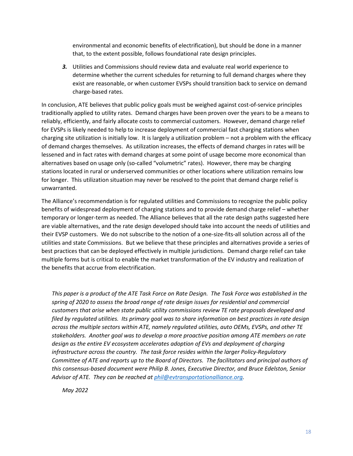environmental and economic benefits of electrification), but should be done in a manner that, to the extent possible, follows foundational rate design principles.

*3.* Utilities and Commissions should review data and evaluate real world experience to determine whether the current schedules for returning to full demand charges where they exist are reasonable, or when customer EVSPs should transition back to service on demand charge-based rates.

In conclusion, ATE believes that public policy goals must be weighed against cost-of-service principles traditionally applied to utility rates. Demand charges have been proven over the years to be a means to reliably, efficiently, and fairly allocate costs to commercial customers. However, demand charge relief for EVSPs is likely needed to help to increase deployment of commercial fast charging stations when charging site utilization is initially low. It is largely a utilization problem – not a problem with the efficacy of demand charges themselves. As utilization increases, the effects of demand charges in rates will be lessened and in fact rates with demand charges at some point of usage become more economical than alternatives based on usage only (so-called "volumetric" rates). However, there may be charging stations located in rural or underserved communities or other locations where utilization remains low for longer. This utilization situation may never be resolved to the point that demand charge relief is unwarranted.

The Alliance's recommendation is for regulated utilities and Commissions to recognize the public policy benefits of widespread deployment of charging stations and to provide demand charge relief – whether temporary or longer-term as needed. The Alliance believes that all the rate design paths suggested here are viable alternatives, and the rate design developed should take into account the needs of utilities and their EVSP customers. We do not subscribe to the notion of a one-size-fits-all solution across all of the utilities and state Commissions. But we believe that these principles and alternatives provide a series of best practices that can be deployed effectively in multiple jurisdictions. Demand charge relief can take multiple forms but is critical to enable the market transformation of the EV industry and realization of the benefits that accrue from electrification.

*This paper is a product of the ATE Task Force on Rate Design. The Task Force was established in the spring of 2020 to assess the broad range of rate design issues for residential and commercial customers that arise when state public utility commissions review TE rate proposals developed and filed by regulated utilities. Its primary goal was to share information on best practices in rate design across the multiple sectors within ATE, namely regulated utilities, auto OEMs, EVSPs, and other TE stakeholders. Another goal was to develop a more proactive position among ATE members on rate design as the entire EV ecosystem accelerates adoption of EVs and deployment of charging infrastructure across the country. The task force resides within the larger Policy-Regulatory Committee of ATE and reports up to the Board of Directors. The facilitators and principal authors of this consensus-based document were Philip B. Jones, Executive Director, and Bruce Edelston, Senior Advisor of ATE. They can be reached a[t phil@evtransportationalliance.org.](mailto:phil@evtransportationalliance.org)*

*May 2022*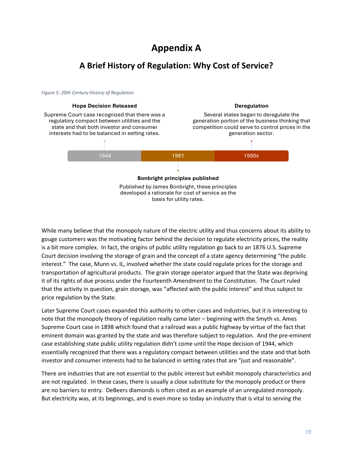### **Appendix A**

### **A Brief History of Regulation: Why Cost of Service?**



While many believe that the monopoly nature of the electric utility and thus concerns about its ability to gouge customers was the motivating factor behind the decision to regulate electricity prices, the reality is a bit more complex. In fact, the origins of public utility regulation go back to an 1876 U.S. Supreme Court decision involving the storage of grain and the concept of a state agency determining "the public interest." The case, Munn vs. IL, involved whether the state could regulate prices for the storage and transportation of agricultural products. The grain storage operator argued that the State was depriving it of its rights of due process under the Fourteenth Amendment to the Constitution. The Court ruled that the activity in question, grain storage, was "affected with the public interest" and thus subject to price regulation by the State.

Later Supreme Court cases expanded this authority to other cases and industries, but it is interesting to note that the monopoly theory of regulation really came later – beginning with the Smyth vs. Ames Supreme Court case in 1898 which found that a railroad was a public highway by virtue of the fact that eminent domain was granted by the state and was therefore subject to regulation. And the pre-eminent case establishing state public utility regulation didn't come until the Hope decision of 1944, which essentially recognized that there was a regulatory compact between utilities and the state and that both investor and consumer interests had to be balanced in setting rates that are "just and reasonable".

There are industries that are not essential to the public interest but exhibit monopoly characteristics and are not regulated. In these cases, there is usually a close substitute for the monopoly product or there are no barriers to entry. DeBeers diamonds is often cited as an example of an unregulated monopoly. But electricity was, at its beginnings, and is even more so today an industry that is vital to serving the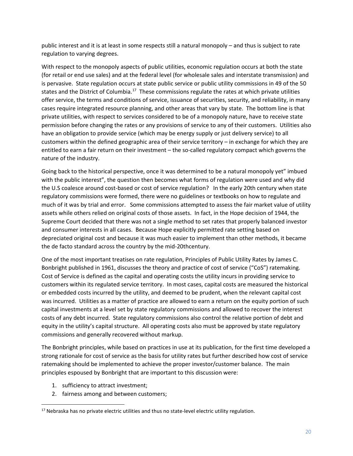public interest and it is at least in some respects still a natural monopoly – and thus is subject to rate regulation to varying degrees.

With respect to the monopoly aspects of public utilities, economic regulation occurs at both the state (for retail or end use sales) and at the federal level (for wholesale sales and interstate transmission) and is pervasive. State regulation occurs at state public service or public utility commissions in 49 of the 50 states and the District of Columbia.<sup>17</sup> These commissions regulate the rates at which private utilities offer service, the terms and conditions of service, issuance of securities, security, and reliability, in many cases require integrated resource planning, and other areas that vary by state. The bottom line is that private utilities, with respect to services considered to be of a monopoly nature, have to receive state permission before changing the rates or any provisions of service to any of their customers. Utilities also have an obligation to provide service (which may be energy supply or just delivery service) to all customers within the defined geographic area of their service territory – in exchange for which they are entitled to earn a fair return on their investment – the so-called regulatory compact which governs the nature of the industry.

Going back to the historical perspective, once it was determined to be a natural monopoly yet" imbued with the public interest", the question then becomes what forms of regulation were used and why did the U.S coalesce around cost-based or cost of service regulation? In the early 20th century when state regulatory commissions were formed, there were no guidelines or textbooks on how to regulate and much of it was by trial and error. Some commissions attempted to assess the fair market value of utility assets while others relied on original costs of those assets. In fact, in the Hope decision of 1944, the Supreme Court decided that there was not a single method to set rates that properly balanced investor and consumer interests in all cases. Because Hope explicitly permitted rate setting based on depreciated original cost and because it was much easier to implement than other methods, it became the de facto standard across the country by the mid-20thcentury.

One of the most important treatises on rate regulation, Principles of Public Utility Rates by James C. Bonbright published in 1961, discusses the theory and practice of cost of service ("CoS") ratemaking. Cost of Service is defined as the capital and operating costs the utility incurs in providing service to customers within its regulated service territory. In most cases, capital costs are measured the historical or embedded costs incurred by the utility, and deemed to be prudent, when the relevant capital cost was incurred. Utilities as a matter of practice are allowed to earn a return on the equity portion of such capital investments at a level set by state regulatory commissions and allowed to recover the interest costs of any debt incurred. State regulatory commissions also control the relative portion of debt and equity in the utility's capital structure. All operating costs also must be approved by state regulatory commissions and generally recovered without markup.

The Bonbright principles, while based on practices in use at its publication, for the first time developed a strong rationale for cost of service as the basis for utility rates but further described how cost of service ratemaking should be implemented to achieve the proper investor/customer balance. The main principles espoused by Bonbright that are important to this discussion were:

- 1. sufficiency to attract investment;
- 2. fairness among and between customers;

<span id="page-24-0"></span><sup>&</sup>lt;sup>17</sup> Nebraska has no private electric utilities and thus no state-level electric utility regulation.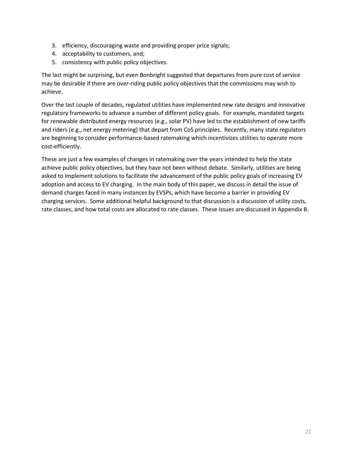- 3. efficiency, discouraging waste and providing proper price signals;
- 4. acceptability to customers, and;
- 5. consistency with public policy objectives.

The last might be surprising, but even Bonbright suggested that departures from pure cost of service may be desirable if there are over-riding public policy objectives that the commissions may wish to achieve.

Over the last couple of decades, regulated utilities have implemented new rate designs and innovative regulatory frameworks to advance a number of different policy goals. For example, mandated targets for renewable distributed energy resources (e.g., solar PV) have led to the establishment of new tariffs and riders (e.g., net energy metering) that depart from CoS principles. Recently, many state regulators are beginning to consider performance-based ratemaking which incentivizes utilities to operate more cost-efficiently.

These are just a few examples of changes in ratemaking over the years intended to help the state achieve public policy objectives, but they have not been without debate. Similarly, utilities are being asked to implement solutions to facilitate the advancement of the public policy goals of increasing EV adoption and access to EV charging. In the main body of this paper, we discuss in detail the issue of demand charges faced in many instances by EVSPs, which have become a barrier in providing EV charging services. Some additional helpful background to that discussion is a discussion of utility costs, rate classes, and how total costs are allocated to rate classes. These issues are discussed in Appendix B.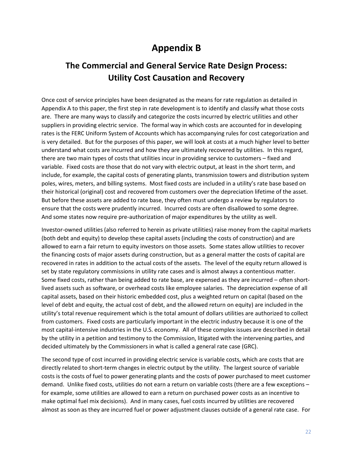### **Appendix B**

### **The Commercial and General Service Rate Design Process: Utility Cost Causation and Recovery**

Once cost of service principles have been designated as the means for rate regulation as detailed in Appendix A to this paper, the first step in rate development is to identify and classify what those costs are. There are many ways to classify and categorize the costs incurred by electric utilities and other suppliers in providing electric service. The formal way in which costs are accounted for in developing rates is the FERC Uniform System of Accounts which has accompanying rules for cost categorization and is very detailed. But for the purposes of this paper, we will look at costs at a much higher level to better understand what costs are incurred and how they are ultimately recovered by utilities. In this regard, there are two main types of costs that utilities incur in providing service to customers – fixed and variable. Fixed costs are those that do not vary with electric output, at least in the short term, and include, for example, the capital costs of generating plants, transmission towers and distribution system poles, wires, meters, and billing systems. Most fixed costs are included in a utility's rate base based on their historical (original) cost and recovered from customers over the depreciation lifetime of the asset. But before these assets are added to rate base, they often must undergo a review by regulators to ensure that the costs were prudently incurred. Incurred costs are often disallowed to some degree. And some states now require pre-authorization of major expenditures by the utility as well.

Investor-owned utilities (also referred to herein as private utilities) raise money from the capital markets (both debt and equity) to develop these capital assets (including the costs of construction) and are allowed to earn a fair return to equity investors on those assets. Some states allow utilities to recover the financing costs of major assets during construction, but as a general matter the costs of capital are recovered in rates in addition to the actual costs of the assets. The level of the equity return allowed is set by state regulatory commissions in utility rate cases and is almost always a contentious matter. Some fixed costs, rather than being added to rate base, are expensed as they are incurred – often shortlived assets such as software, or overhead costs like employee salaries. The depreciation expense of all capital assets, based on their historic embedded cost, plus a weighted return on capital (based on the level of debt and equity, the actual cost of debt, and the allowed return on equity) are included in the utility's total revenue requirement which is the total amount of dollars utilities are authorized to collect from customers. Fixed costs are particularly important in the electric industry because it is one of the most capital-intensive industries in the U.S. economy. All of these complex issues are described in detail by the utility in a petition and testimony to the Commission, litigated with the intervening parties, and decided ultimately by the Commissioners in what is called a general rate case (GRC).

The second type of cost incurred in providing electric service is variable costs, which are costs that are directly related to short-term changes in electric output by the utility. The largest source of variable costs is the costs of fuel to power generating plants and the costs of power purchased to meet customer demand. Unlike fixed costs, utilities do not earn a return on variable costs (there are a few exceptions – for example, some utilities are allowed to earn a return on purchased power costs as an incentive to make optimal fuel mix decisions). And in many cases, fuel costs incurred by utilities are recovered almost as soon as they are incurred fuel or power adjustment clauses outside of a general rate case. For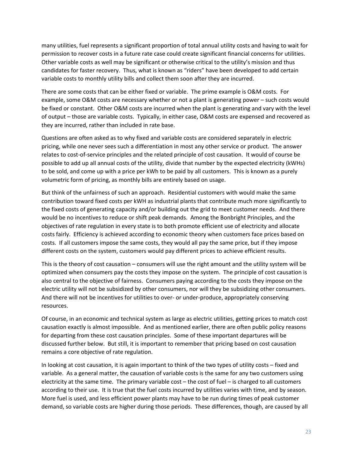many utilities, fuel represents a significant proportion of total annual utility costs and having to wait for permission to recover costs in a future rate case could create significant financial concerns for utilities. Other variable costs as well may be significant or otherwise critical to the utility's mission and thus candidates for faster recovery. Thus, what is known as "riders" have been developed to add certain variable costs to monthly utility bills and collect them soon after they are incurred.

There are some costs that can be either fixed or variable. The prime example is O&M costs. For example, some O&M costs are necessary whether or not a plant is generating power – such costs would be fixed or constant. Other O&M costs are incurred when the plant is generating and vary with the level of output – those are variable costs. Typically, in either case, O&M costs are expensed and recovered as they are incurred, rather than included in rate base.

Questions are often asked as to why fixed and variable costs are considered separately in electric pricing, while one never sees such a differentiation in most any other service or product. The answer relates to cost-of-service principles and the related principle of cost causation. It would of course be possible to add up all annual costs of the utility, divide that number by the expected electricity (kWHs) to be sold, and come up with a price per kWh to be paid by all customers. This is known as a purely volumetric form of pricing, as monthly bills are entirely based on usage.

But think of the unfairness of such an approach. Residential customers with would make the same contribution toward fixed costs per kWH as industrial plants that contribute much more significantly to the fixed costs of generating capacity and/or building out the grid to meet customer needs. And there would be no incentives to reduce or shift peak demands. Among the Bonbright Principles, and the objectives of rate regulation in every state is to both promote efficient use of electricity and allocate costs fairly. Efficiency is achieved according to economic theory when customers face prices based on costs. If all customers impose the same costs, they would all pay the same price, but if they impose different costs on the system, customers would pay different prices to achieve efficient results.

This is the theory of cost causation – consumers will use the right amount and the utility system will be optimized when consumers pay the costs they impose on the system. The principle of cost causation is also central to the objective of fairness. Consumers paying according to the costs they impose on the electric utility will not be subsidized by other consumers, nor will they be subsidizing other consumers. And there will not be incentives for utilities to over- or under-produce, appropriately conserving resources.

Of course, in an economic and technical system as large as electric utilities, getting prices to match cost causation exactly is almost impossible. And as mentioned earlier, there are often public policy reasons for departing from these cost causation principles. Some of these important departures will be discussed further below. But still, it is important to remember that pricing based on cost causation remains a core objective of rate regulation.

In looking at cost causation, it is again important to think of the two types of utility costs – fixed and variable. As a general matter, the causation of variable costs is the same for any two customers using electricity at the same time. The primary variable cost – the cost of fuel – is charged to all customers according to their use. It is true that the fuel costs incurred by utilities varies with time, and by season. More fuel is used, and less efficient power plants may have to be run during times of peak customer demand, so variable costs are higher during those periods. These differences, though, are caused by all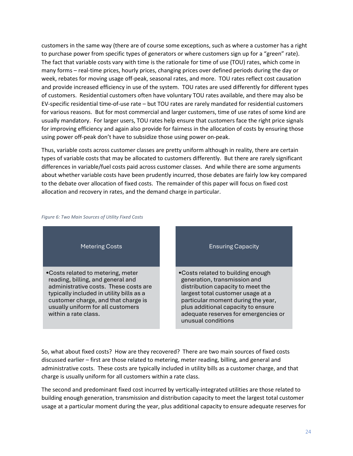customers in the same way (there are of course some exceptions, such as where a customer has a right to purchase power from specific types of generators or where customers sign up for a "green" rate). The fact that variable costs vary with time is the rationale for time of use (TOU) rates, which come in many forms – real-time prices, hourly prices, changing prices over defined periods during the day or week, rebates for moving usage off-peak, seasonal rates, and more. TOU rates reflect cost causation and provide increased efficiency in use of the system. TOU rates are used differently for different types of customers. Residential customers often have voluntary TOU rates available, and there may also be EV-specific residential time-of-use rate – but TOU rates are rarely mandated for residential customers for various reasons. But for most commercial and larger customers, time of use rates of some kind are usually mandatory. For larger users, TOU rates help ensure that customers face the right price signals for improving efficiency and again also provide for fairness in the allocation of costs by ensuring those using power off-peak don't have to subsidize those using power on-peak.

Thus, variable costs across customer classes are pretty uniform although in reality, there are certain types of variable costs that may be allocated to customers differently. But there are rarely significant differences in variable/fuel costs paid across customer classes. And while there are some arguments about whether variable costs have been prudently incurred, those debates are fairly low key compared to the debate over allocation of fixed costs. The remainder of this paper will focus on fixed cost allocation and recovery in rates, and the demand charge in particular.



#### *Figure 6: Two Main Sources of Utility Fixed Costs*

So, what about fixed costs? How are they recovered? There are two main sources of fixed costs discussed earlier – first are those related to metering, meter reading, billing, and general and administrative costs. These costs are typically included in utility bills as a customer charge, and that charge is usually uniform for all customers within a rate class.

The second and predominant fixed cost incurred by vertically-integrated utilities are those related to building enough generation, transmission and distribution capacity to meet the largest total customer usage at a particular moment during the year, plus additional capacity to ensure adequate reserves for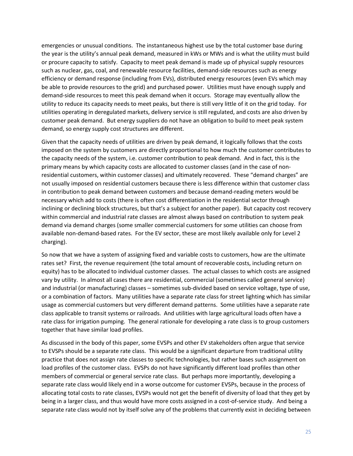emergencies or unusual conditions. The instantaneous highest use by the total customer base during the year is the utility's annual peak demand, measured in kWs or MWs and is what the utility must build or procure capacity to satisfy. Capacity to meet peak demand is made up of physical supply resources such as nuclear, gas, coal, and renewable resource facilities, demand-side resources such as energy efficiency or demand response (including from EVs), distributed energy resources (even EVs which may be able to provide resources to the grid) and purchased power. Utilities must have enough supply and demand-side resources to meet this peak demand when it occurs. Storage may eventually allow the utility to reduce its capacity needs to meet peaks, but there is still very little of it on the grid today. For utilities operating in deregulated markets, delivery service is still regulated, and costs are also driven by customer peak demand. But energy suppliers do not have an obligation to build to meet peak system demand, so energy supply cost structures are different.

Given that the capacity needs of utilities are driven by peak demand, it logically follows that the costs imposed on the system by customers are directly proportional to how much the customer contributes to the capacity needs of the system, i.e. customer contribution to peak demand. And in fact, this is the primary means by which capacity costs are allocated to customer classes (and in the case of nonresidential customers, within customer classes) and ultimately recovered. These "demand charges" are not usually imposed on residential customers because there is less difference within that customer class in contribution to peak demand between customers and because demand-reading meters would be necessary which add to costs (there is often cost differentiation in the residential sector through inclining or declining block structures, but that's a subject for another paper). But capacity cost recovery within commercial and industrial rate classes are almost always based on contribution to system peak demand via demand charges (some smaller commercial customers for some utilities can choose from available non-demand-based rates. For the EV sector, these are most likely available only for Level 2 charging).

So now that we have a system of assigning fixed and variable costs to customers, how are the ultimate rates set? First, the revenue requirement (the total amount of recoverable costs, including return on equity) has to be allocated to individual customer classes. The actual classes to which costs are assigned vary by utility. In almost all cases there are residential, commercial (sometimes called general service) and industrial (or manufacturing) classes – sometimes sub-divided based on service voltage, type of use, or a combination of factors. Many utilities have a separate rate class for street lighting which has similar usage as commercial customers but very different demand patterns. Some utilities have a separate rate class applicable to transit systems or railroads. And utilities with large agricultural loads often have a rate class for irrigation pumping. The general rationale for developing a rate class is to group customers together that have similar load profiles.

As discussed in the body of this paper, some EVSPs and other EV stakeholders often argue that service to EVSPs should be a separate rate class. This would be a significant departure from traditional utility practice that does not assign rate classes to specific technologies, but rather bases such assignment on load profiles of the customer class. EVSPs do not have significantly different load profiles than other members of commercial or general service rate class. But perhaps more importantly, developing a separate rate class would likely end in a worse outcome for customer EVSPs, because in the process of allocating total costs to rate classes, EVSPs would not get the benefit of diversity of load that they get by being in a larger class, and thus would have more costs assigned in a cost-of-service study. And being a separate rate class would not by itself solve any of the problems that currently exist in deciding between